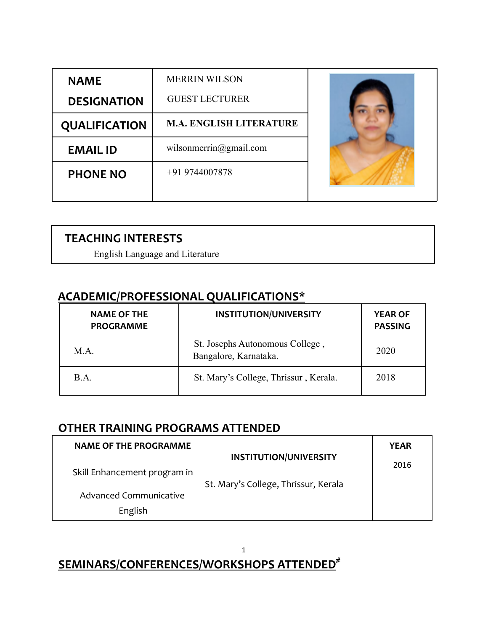| <b>NAME</b>          | <b>MERRIN WILSON</b>           |  |
|----------------------|--------------------------------|--|
| <b>DESIGNATION</b>   | <b>GUEST LECTURER</b>          |  |
| <b>QUALIFICATION</b> | <b>M.A. ENGLISH LITERATURE</b> |  |
| <b>EMAIL ID</b>      | wilsonmerrin@gmail.com         |  |
| <b>PHONE NO</b>      | +91 9744007878                 |  |
|                      |                                |  |

### **TEACHING INTERESTS**

English Language and Literature

## **ACADEMIC/PROFESSIONAL QUALIFICATIONS\***

| <b>NAME OF THE</b><br><b>PROGRAMME</b> | <b>INSTITUTION/UNIVERSITY</b>                            | <b>YEAR OF</b><br><b>PASSING</b> |
|----------------------------------------|----------------------------------------------------------|----------------------------------|
| $MA$ .                                 | St. Josephs Autonomous College,<br>Bangalore, Karnataka. | 2020                             |
| B.A.                                   | St. Mary's College, Thrissur, Kerala.                    | 2018                             |

## **OTHER TRAINING PROGRAMS ATTENDED**

| <b>NAME OF THE PROGRAMME</b> |                                                                       | <b>YEAR</b> |
|------------------------------|-----------------------------------------------------------------------|-------------|
| Skill Enhancement program in | <b>INSTITUTION/UNIVERSITY</b><br>St. Mary's College, Thrissur, Kerala | 2016        |
| Advanced Communicative       |                                                                       |             |
| English                      |                                                                       |             |

#### 1 **SEMINARS/CONFERENCES/WORKSHOPS ATTENDED #**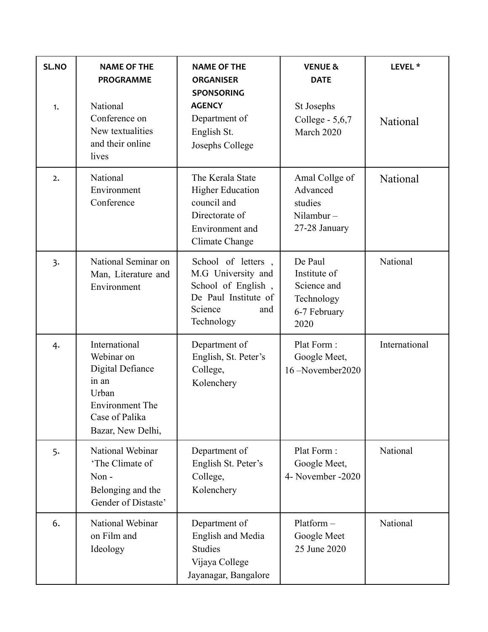| SL.NO<br>1.      | <b>NAME OF THE</b><br><b>PROGRAMME</b><br>National<br>Conference on<br>New textualities<br>and their online<br>lives        | <b>NAME OF THE</b><br><b>ORGANISER</b><br><b>SPONSORING</b><br><b>AGENCY</b><br>Department of<br>English St.<br>Josephs College | <b>VENUE &amp;</b><br><b>DATE</b><br>St Josephs<br>College - 5,6,7<br>March 2020 | LEVEL <sup>*</sup><br>National |
|------------------|-----------------------------------------------------------------------------------------------------------------------------|---------------------------------------------------------------------------------------------------------------------------------|----------------------------------------------------------------------------------|--------------------------------|
| 2.               | National<br>Environment<br>Conference                                                                                       | The Kerala State<br><b>Higher Education</b><br>council and<br>Directorate of<br>Environment and<br>Climate Change               | Amal Collge of<br>Advanced<br>studies<br>Nilambur $-$<br>27-28 January           | National                       |
| $\overline{3}$ . | National Seminar on<br>Man, Literature and<br>Environment                                                                   | School of letters,<br>M.G University and<br>School of English,<br>De Paul Institute of<br>Science<br>and<br>Technology          | De Paul<br>Institute of<br>Science and<br>Technology<br>6-7 February<br>2020     | National                       |
| 4.               | International<br>Webinar on<br>Digital Defiance<br>in an<br>Urban<br>Environment The<br>Case of Palika<br>Bazar, New Delhi, | Department of<br>English, St. Peter's<br>College,<br>Kolenchery                                                                 | Plat Form:<br>Google Meet,<br>16-November2020                                    | International                  |
| 5.               | National Webinar<br>'The Climate of<br>Non-<br>Belonging and the<br>Gender of Distaste'                                     | Department of<br>English St. Peter's<br>College,<br>Kolenchery                                                                  | Plat Form:<br>Google Meet,<br>4- November -2020                                  | National                       |
| 6.               | National Webinar<br>on Film and<br>Ideology                                                                                 | Department of<br>English and Media<br><b>Studies</b><br>Vijaya College<br>Jayanagar, Bangalore                                  | Platform-<br>Google Meet<br>25 June 2020                                         | National                       |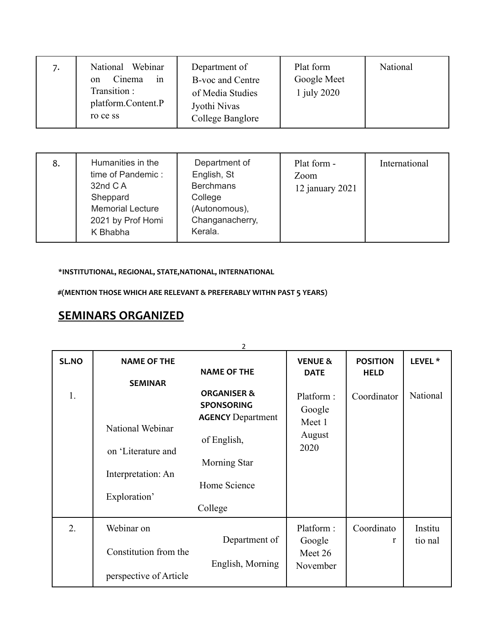| 7. | Webinar<br>National<br>Cinema<br>1n<br><sub>on</sub><br>Transition:<br>platform.Content.P<br>ro ce ss | Department of<br>B-voc and Centre<br>of Media Studies<br>Jyothi Nivas<br>College Banglore | Plat form<br>Google Meet<br>1 july 2020 | National |
|----|-------------------------------------------------------------------------------------------------------|-------------------------------------------------------------------------------------------|-----------------------------------------|----------|
|----|-------------------------------------------------------------------------------------------------------|-------------------------------------------------------------------------------------------|-----------------------------------------|----------|

| 8. | Humanities in the<br>time of Pandemic:<br>32nd C A<br>Sheppard<br><b>Memorial Lecture</b><br>2021 by Prof Homi<br>K Bhabha | Department of<br>English, St<br><b>Berchmans</b><br>College<br>(Autonomous),<br>Changanacherry,<br>Kerala. | Plat form -<br>Zoom<br>12 january $2021$ | International |
|----|----------------------------------------------------------------------------------------------------------------------------|------------------------------------------------------------------------------------------------------------|------------------------------------------|---------------|
|----|----------------------------------------------------------------------------------------------------------------------------|------------------------------------------------------------------------------------------------------------|------------------------------------------|---------------|

**\*INSTITUTIONAL, REGIONAL, STATE,NATIONAL, INTERNATIONAL**

**#(MENTION THOSE WHICH ARE RELEVANT & PREFERABLY WITHN PAST 5 YEARS)**

# **SEMINARS ORGANIZED**

|       |                        | $\overline{2}$           |                    |                 |                    |
|-------|------------------------|--------------------------|--------------------|-----------------|--------------------|
| SL.NO | <b>NAME OF THE</b>     |                          | <b>VENUE &amp;</b> | <b>POSITION</b> | LEVEL <sup>*</sup> |
|       |                        | <b>NAME OF THE</b>       | <b>DATE</b>        | <b>HELD</b>     |                    |
|       | <b>SEMINAR</b>         |                          |                    |                 |                    |
| 1.    |                        | <b>ORGANISER &amp;</b>   | Platform:          | Coordinator     | National           |
|       |                        | <b>SPONSORING</b>        | Google             |                 |                    |
|       | National Webinar       | <b>AGENCY Department</b> | Meet 1             |                 |                    |
|       |                        | of English,              | August             |                 |                    |
|       | on 'Literature and     |                          | 2020               |                 |                    |
|       |                        | <b>Morning Star</b>      |                    |                 |                    |
|       | Interpretation: An     |                          |                    |                 |                    |
|       |                        | Home Science             |                    |                 |                    |
|       | Exploration'           |                          |                    |                 |                    |
|       |                        | College                  |                    |                 |                    |
| 2.    | Webinar on             |                          | Platform:          | Coordinato      | Institu            |
|       |                        | Department of            | Google             | r               | tio nal            |
|       | Constitution from the  |                          | Meet 26            |                 |                    |
|       |                        | English, Morning         | November           |                 |                    |
|       | perspective of Article |                          |                    |                 |                    |